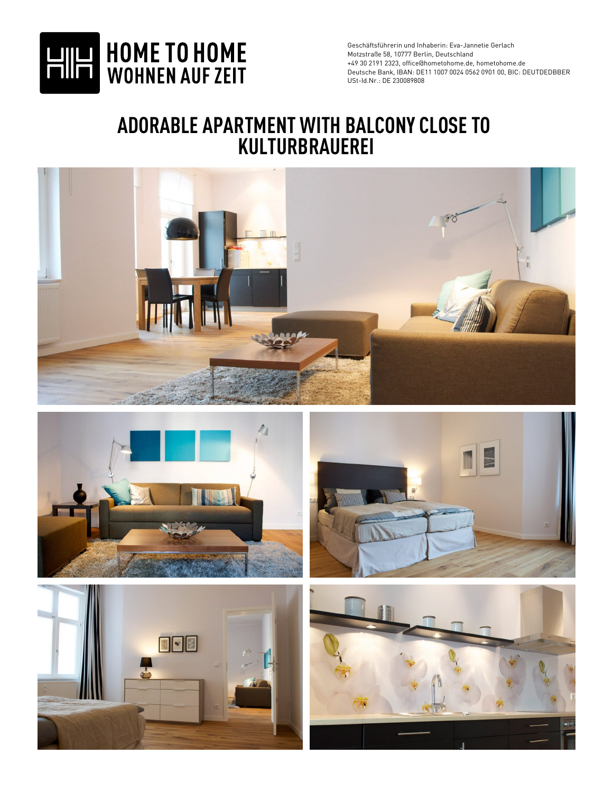

## **ADORABLE APARTMENT WITH BALCONY CLOSE TO KULTURBRAUEREI**









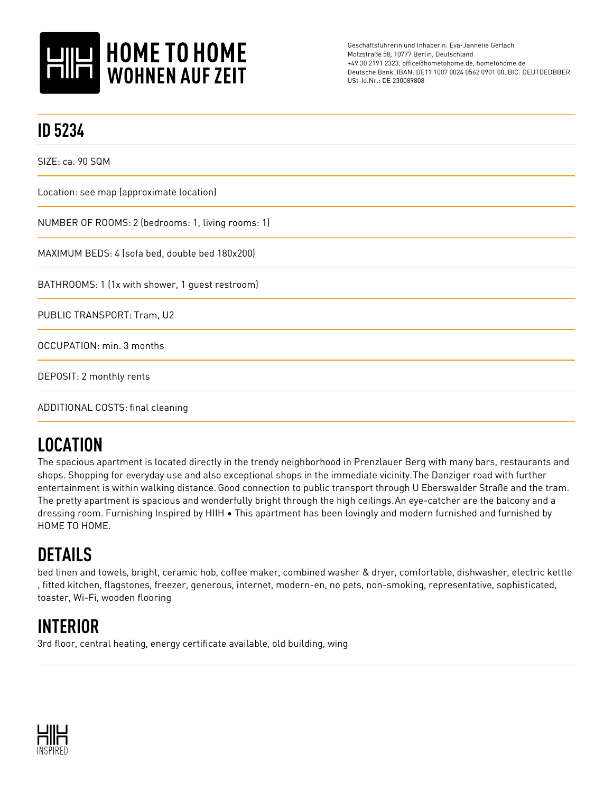

| <b>ID 5234</b>                                    |
|---------------------------------------------------|
| SIZE: ca. 90 SQM                                  |
| Location: see map (approximate location)          |
| NUMBER OF ROOMS: 2 (bedrooms: 1, living rooms: 1) |
| MAXIMUM BEDS: 4 (sofa bed, double bed 180x200)    |
| BATHROOMS: 1 (1x with shower, 1 guest restroom)   |
| PUBLIC TRANSPORT: Tram, U2                        |
| OCCUPATION: min. 3 months                         |
| DEPOSIT: 2 monthly rents                          |
| ADDITIONAL COSTS: final cleaning                  |

## **LOCATION**

The spacious apartment is located directly in the trendy neighborhood in Prenzlauer Berg with many bars, restaurants and shops. Shopping for everyday use and also exceptional shops in the immediate vicinity.The Danziger road with further entertainment is within walking distance.Good connection to public transport through U Eberswalder Straße and the tram. The pretty apartment is spacious and wonderfully bright through the high ceilings.An eye-catcher are the balcony and a dressing room. Furnishing Inspired by HIIH • This apartment has been lovingly and modern furnished and furnished by HOME TO HOME.

## **DETAILS**

bed linen and towels, bright, ceramic hob, coffee maker, combined washer & dryer, comfortable, dishwasher, electric kettle , fitted kitchen, flagstones, freezer, generous, internet, modern-en, no pets, non-smoking, representative, sophisticated, toaster, Wi-Fi, wooden flooring

## **INTERIOR**

3rd floor, central heating, energy certificate available, old building, wing

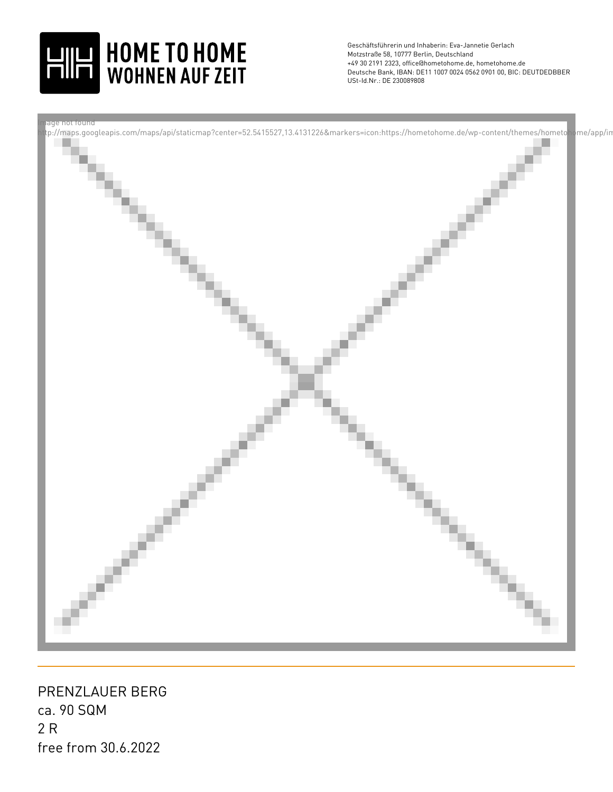



ca. 90 SQM 2 R PRENZLAUER BERG free from 30.6.2022